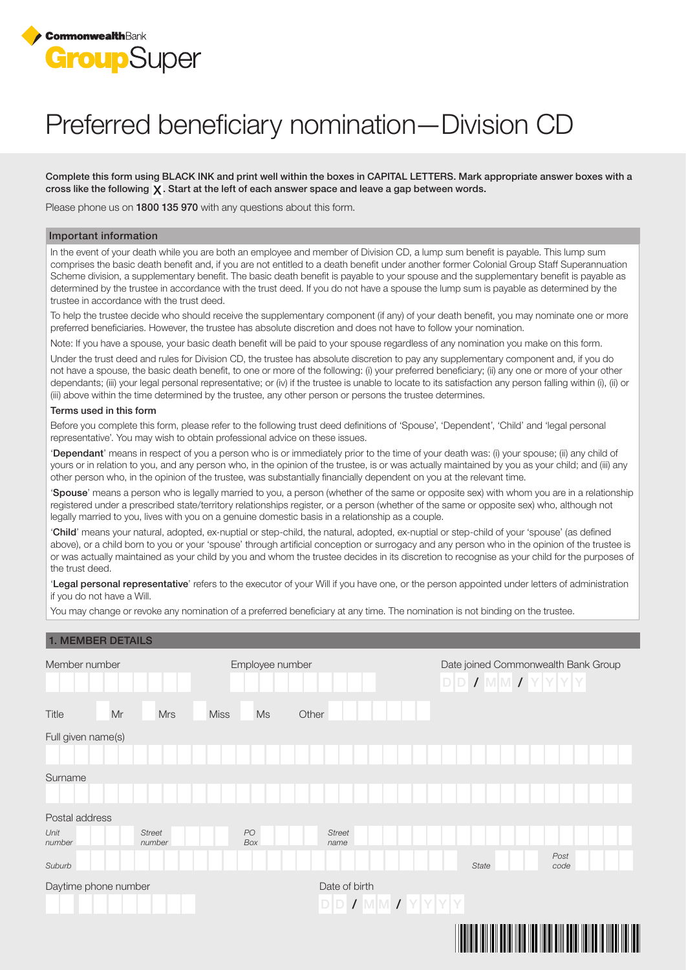

# Preferred beneficiary nomination—Division CD

Complete this form using BLACK INK and print well within the boxes in CAPITAL LETTERS. Mark appropriate answer boxes with a cross like the following  $\chi$ . Start at the left of each answer space and leave a gap between words.

Please phone us on 1800 135 970 with any questions about this form.

#### Important information

In the event of your death while you are both an employee and member of Division CD, a lump sum benefit is payable. This lump sum comprises the basic death benefit and, if you are not entitled to a death benefit under another former Colonial Group Staff Superannuation Scheme division, a supplementary benefit. The basic death benefit is payable to your spouse and the supplementary benefit is payable as determined by the trustee in accordance with the trust deed. If you do not have a spouse the lump sum is payable as determined by the trustee in accordance with the trust deed.

To help the trustee decide who should receive the supplementary component (if any) of your death benefit, you may nominate one or more preferred beneficiaries. However, the trustee has absolute discretion and does not have to follow your nomination.

Note: If you have a spouse, your basic death benefit will be paid to your spouse regardless of any nomination you make on this form.

Under the trust deed and rules for Division CD, the trustee has absolute discretion to pay any supplementary component and, if you do not have a spouse, the basic death benefit, to one or more of the following: (i) your preferred beneficiary; (ii) any one or more of your other dependants; (iii) your legal personal representative; or (iv) if the trustee is unable to locate to its satisfaction any person falling within (i), (ii) or (iii) above within the time determined by the trustee, any other person or persons the trustee determines.

#### Terms used in this form

Before you complete this form, please refer to the following trust deed definitions of 'Spouse', 'Dependent', 'Child' and 'legal personal representative'. You may wish to obtain professional advice on these issues.

'Dependant' means in respect of you a person who is or immediately prior to the time of your death was: (i) your spouse; (ii) any child of yours or in relation to you, and any person who, in the opinion of the trustee, is or was actually maintained by you as your child; and (iii) any other person who, in the opinion of the trustee, was substantially financially dependent on you at the relevant time.

'Spouse' means a person who is legally married to you, a person (whether of the same or opposite sex) with whom you are in a relationship registered under a prescribed state/territory relationships register, or a person (whether of the same or opposite sex) who, although not legally married to you, lives with you on a genuine domestic basis in a relationship as a couple.

'Child' means your natural, adopted, ex-nuptial or step-child, the natural, adopted, ex-nuptial or step-child of your 'spouse' (as defined above), or a child born to you or your 'spouse' through artificial conception or surrogacy and any person who in the opinion of the trustee is or was actually maintained as your child by you and whom the trustee decides in its discretion to recognise as your child for the purposes of the trust deed.

'Legal personal representative' refers to the executor of your Will if you have one, or the person appointed under letters of administration if you do not have a Will.

You may change or revoke any nomination of a preferred beneficiary at any time. The nomination is not binding on the trustee.

| <b>1. MEMBER DETAILS</b> |                         |                   |                       |                       |                                                              |                |                    |  |
|--------------------------|-------------------------|-------------------|-----------------------|-----------------------|--------------------------------------------------------------|----------------|--------------------|--|
| Member number            |                         | Employee number   |                       |                       | Date joined Commonwealth Bank Group<br>$D D I W M I Y Y Y Y$ |                |                    |  |
| Title<br>Mr              | <b>Mrs</b>              | <b>Miss</b><br>Ms | Other                 |                       |                                                              |                |                    |  |
| Full given name(s)       |                         |                   |                       |                       |                                                              |                |                    |  |
|                          |                         |                   |                       |                       |                                                              |                |                    |  |
| Surname                  |                         |                   |                       |                       |                                                              |                |                    |  |
|                          |                         |                   |                       |                       |                                                              |                |                    |  |
| Postal address           |                         |                   |                       |                       |                                                              |                |                    |  |
| Unit<br>number           | <b>Street</b><br>number | PO<br>Box         | <b>Street</b><br>name |                       |                                                              |                |                    |  |
| Suburb                   |                         |                   |                       |                       | State                                                        |                | Post<br>code       |  |
| Daytime phone number     |                         | Date of birth     |                       |                       |                                                              |                |                    |  |
|                          |                         |                   |                       | $D D J M M J Y Y Y Y$ |                                                              |                |                    |  |
|                          |                         |                   |                       |                       |                                                              |                |                    |  |
|                          |                         |                   |                       |                       |                                                              | $\mathbf{III}$ | <u> HEIHEIHEIH</u> |  |